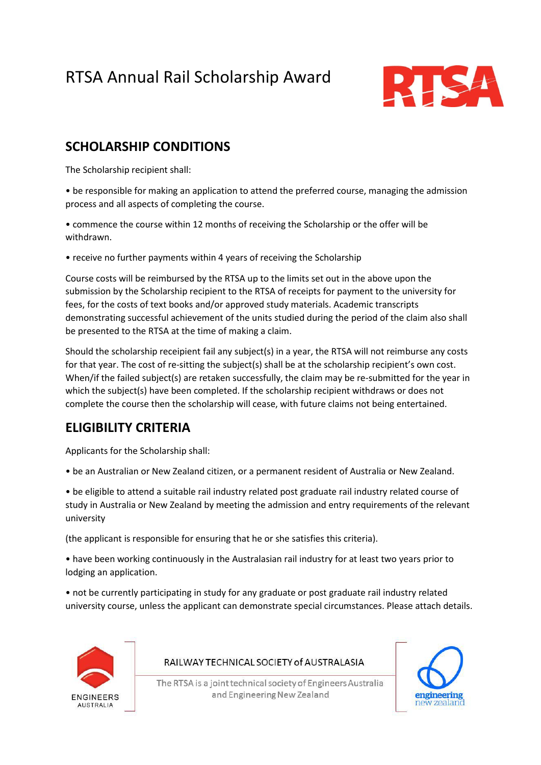# RTSA Annual Rail Scholarship Award



# **SCHOLARSHIP CONDITIONS**

The Scholarship recipient shall:

• be responsible for making an application to attend the preferred course, managing the admission process and all aspects of completing the course.

• commence the course within 12 months of receiving the Scholarship or the offer will be withdrawn.

• receive no further payments within 4 years of receiving the Scholarship

Course costs will be reimbursed by the RTSA up to the limits set out in the above upon the submission by the Scholarship recipient to the RTSA of receipts for payment to the university for fees, for the costs of text books and/or approved study materials. Academic transcripts demonstrating successful achievement of the units studied during the period of the claim also shall be presented to the RTSA at the time of making a claim.

Should the scholarship receipient fail any subject(s) in a year, the RTSA will not reimburse any costs for that year. The cost of re-sitting the subject(s) shall be at the scholarship recipient's own cost. When/if the failed subject(s) are retaken successfully, the claim may be re-submitted for the year in which the subject(s) have been completed. If the scholarship recipient withdraws or does not complete the course then the scholarship will cease, with future claims not being entertained.

### **ELIGIBILITY CRITERIA**

Applicants for the Scholarship shall:

• be an Australian or New Zealand citizen, or a permanent resident of Australia or New Zealand.

• be eligible to attend a suitable rail industry related post graduate rail industry related course of study in Australia or New Zealand by meeting the admission and entry requirements of the relevant university

(the applicant is responsible for ensuring that he or she satisfies this criteria).

• have been working continuously in the Australasian rail industry for at least two years prior to lodging an application.

• not be currently participating in study for any graduate or post graduate rail industry related university course, unless the applicant can demonstrate special circumstances. Please attach details.



#### RAILWAY TECHNICAL SOCIETY of AUSTRALASIA

The RTSA is a joint technical society of Engineers Australia and Engineering New Zealand